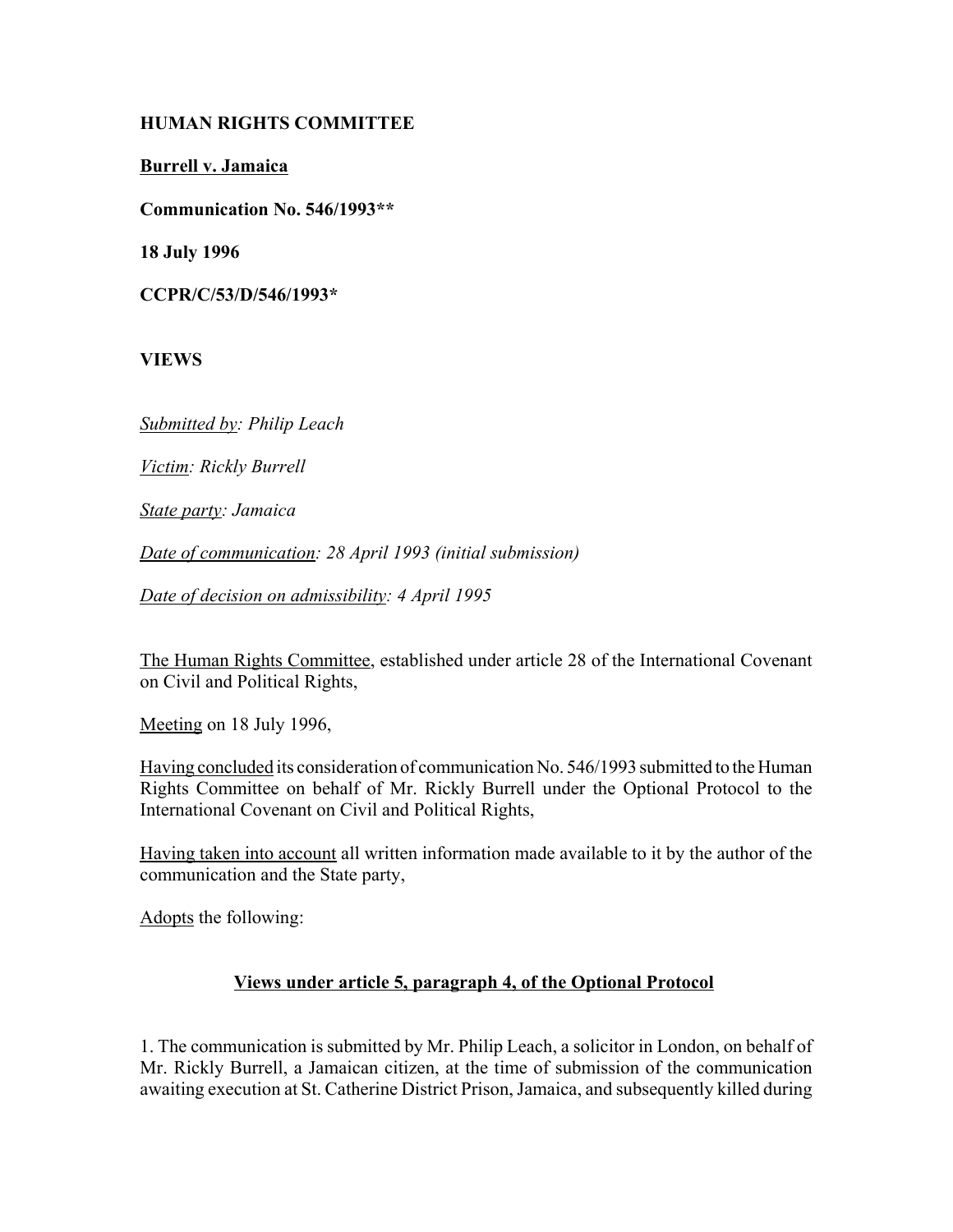# **HUMAN RIGHTS COMMITTEE**

**Burrell v. Jamaica**

**Communication No. 546/1993\*\***

**18 July 1996**

**CCPR/C/53/D/546/1993\***

**VIEWS**

*Submitted by: Philip Leach*

*Victim: Rickly Burrell*

*State party: Jamaica*

*Date of communication: 28 April 1993 (initial submission)* 

*Date of decision on admissibility: 4 April 1995*

The Human Rights Committee, established under article 28 of the International Covenant on Civil and Political Rights,

Meeting on 18 July 1996,

Having concluded its consideration of communication No. 546/1993 submitted to the Human Rights Committee on behalf of Mr. Rickly Burrell under the Optional Protocol to the International Covenant on Civil and Political Rights,

Having taken into account all written information made available to it by the author of the communication and the State party,

Adopts the following:

# **Views under article 5, paragraph 4, of the Optional Protocol**

1. The communication is submitted by Mr. Philip Leach, a solicitor in London, on behalf of Mr. Rickly Burrell, a Jamaican citizen, at the time of submission of the communication awaiting execution at St. Catherine District Prison, Jamaica, and subsequently killed during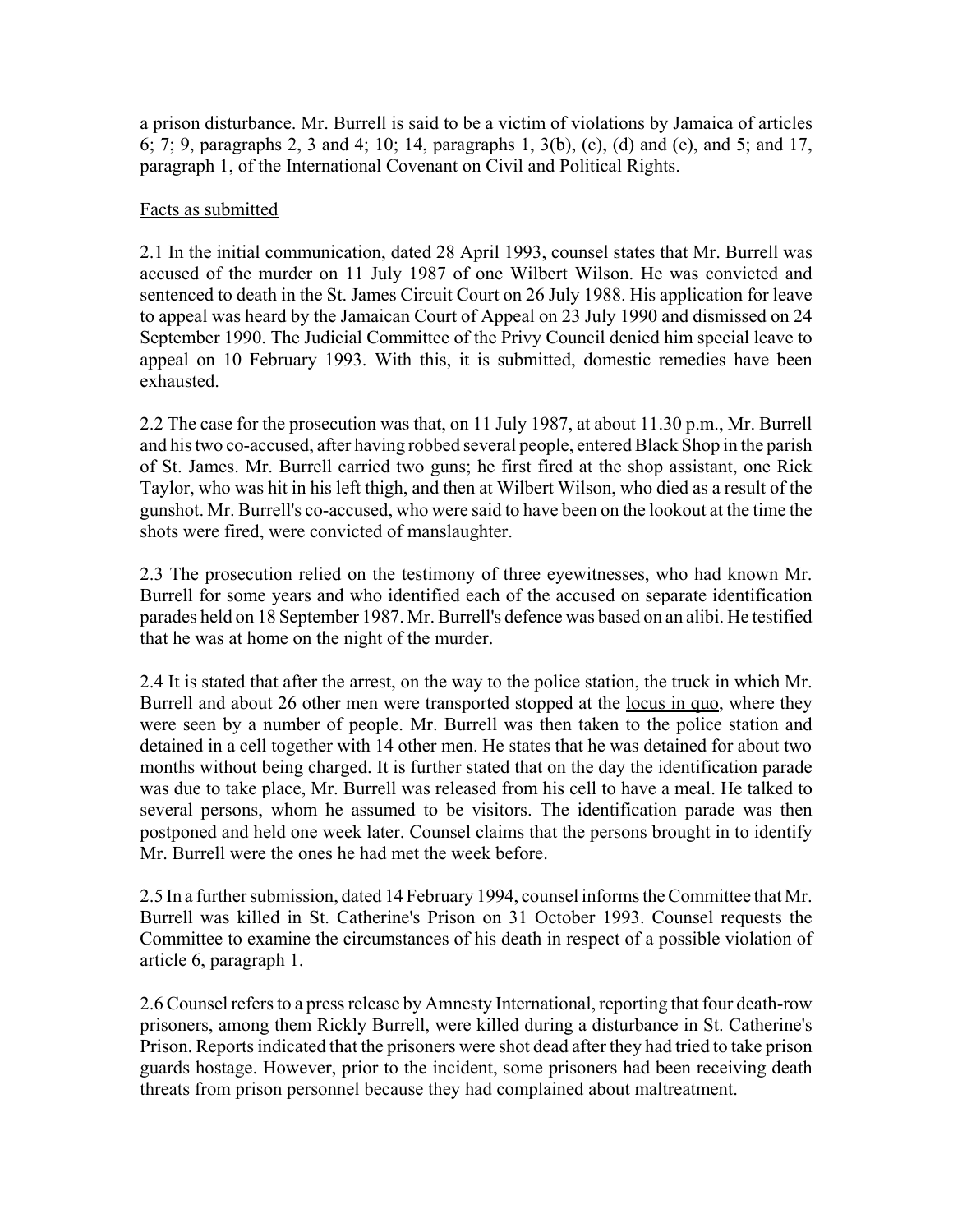a prison disturbance. Mr. Burrell is said to be a victim of violations by Jamaica of articles 6; 7; 9, paragraphs 2, 3 and 4; 10; 14, paragraphs 1, 3(b), (c), (d) and (e), and 5; and 17, paragraph 1, of the International Covenant on Civil and Political Rights.

### Facts as submitted

2.1 In the initial communication, dated 28 April 1993, counsel states that Mr. Burrell was accused of the murder on 11 July 1987 of one Wilbert Wilson. He was convicted and sentenced to death in the St. James Circuit Court on 26 July 1988. His application for leave to appeal was heard by the Jamaican Court of Appeal on 23 July 1990 and dismissed on 24 September 1990. The Judicial Committee of the Privy Council denied him special leave to appeal on 10 February 1993. With this, it is submitted, domestic remedies have been exhausted.

2.2 The case for the prosecution was that, on 11 July 1987, at about 11.30 p.m., Mr. Burrell and his two co-accused, after having robbed several people, entered Black Shop in the parish of St. James. Mr. Burrell carried two guns; he first fired at the shop assistant, one Rick Taylor, who was hit in his left thigh, and then at Wilbert Wilson, who died as a result of the gunshot. Mr. Burrell's co-accused, who were said to have been on the lookout at the time the shots were fired, were convicted of manslaughter.

2.3 The prosecution relied on the testimony of three eyewitnesses, who had known Mr. Burrell for some years and who identified each of the accused on separate identification parades held on 18 September 1987. Mr. Burrell's defence was based on an alibi. He testified that he was at home on the night of the murder.

2.4 It is stated that after the arrest, on the way to the police station, the truck in which Mr. Burrell and about 26 other men were transported stopped at the locus in quo, where they were seen by a number of people. Mr. Burrell was then taken to the police station and detained in a cell together with 14 other men. He states that he was detained for about two months without being charged. It is further stated that on the day the identification parade was due to take place, Mr. Burrell was released from his cell to have a meal. He talked to several persons, whom he assumed to be visitors. The identification parade was then postponed and held one week later. Counsel claims that the persons brought in to identify Mr. Burrell were the ones he had met the week before.

2.5 In a further submission, dated 14 February 1994, counsel informs the Committee that Mr. Burrell was killed in St. Catherine's Prison on 31 October 1993. Counsel requests the Committee to examine the circumstances of his death in respect of a possible violation of article 6, paragraph 1.

2.6 Counsel refers to a press release by Amnesty International, reporting that four death-row prisoners, among them Rickly Burrell, were killed during a disturbance in St. Catherine's Prison. Reports indicated that the prisoners were shot dead after they had tried to take prison guards hostage. However, prior to the incident, some prisoners had been receiving death threats from prison personnel because they had complained about maltreatment.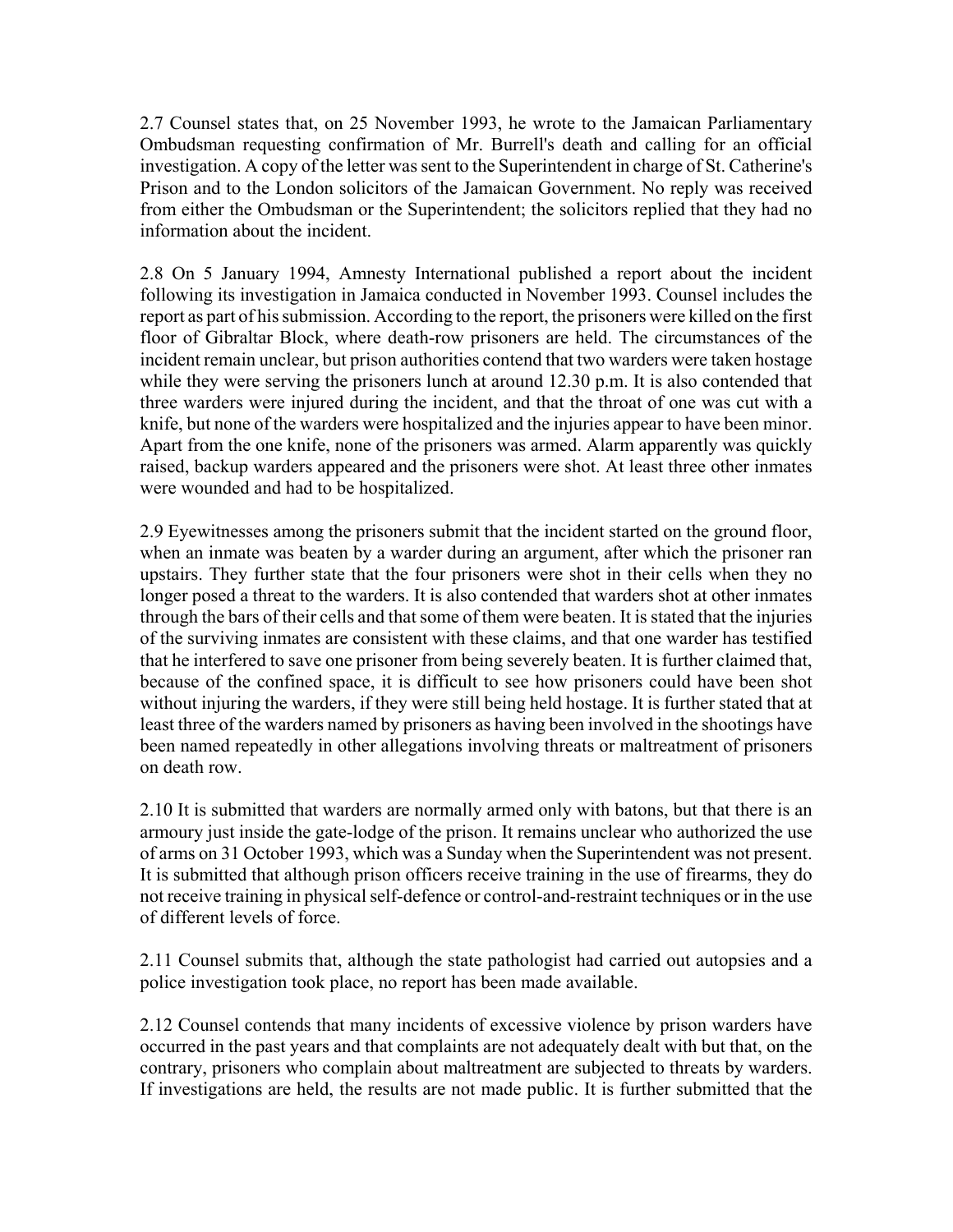2.7 Counsel states that, on 25 November 1993, he wrote to the Jamaican Parliamentary Ombudsman requesting confirmation of Mr. Burrell's death and calling for an official investigation. A copy of the letter was sent to the Superintendent in charge of St. Catherine's Prison and to the London solicitors of the Jamaican Government. No reply was received from either the Ombudsman or the Superintendent; the solicitors replied that they had no information about the incident.

2.8 On 5 January 1994, Amnesty International published a report about the incident following its investigation in Jamaica conducted in November 1993. Counsel includes the report as part of his submission. According to the report, the prisoners were killed on the first floor of Gibraltar Block, where death-row prisoners are held. The circumstances of the incident remain unclear, but prison authorities contend that two warders were taken hostage while they were serving the prisoners lunch at around 12.30 p.m. It is also contended that three warders were injured during the incident, and that the throat of one was cut with a knife, but none of the warders were hospitalized and the injuries appear to have been minor. Apart from the one knife, none of the prisoners was armed. Alarm apparently was quickly raised, backup warders appeared and the prisoners were shot. At least three other inmates were wounded and had to be hospitalized.

2.9 Eyewitnesses among the prisoners submit that the incident started on the ground floor, when an inmate was beaten by a warder during an argument, after which the prisoner ran upstairs. They further state that the four prisoners were shot in their cells when they no longer posed a threat to the warders. It is also contended that warders shot at other inmates through the bars of their cells and that some of them were beaten. It is stated that the injuries of the surviving inmates are consistent with these claims, and that one warder has testified that he interfered to save one prisoner from being severely beaten. It is further claimed that, because of the confined space, it is difficult to see how prisoners could have been shot without injuring the warders, if they were still being held hostage. It is further stated that at least three of the warders named by prisoners as having been involved in the shootings have been named repeatedly in other allegations involving threats or maltreatment of prisoners on death row.

2.10 It is submitted that warders are normally armed only with batons, but that there is an armoury just inside the gate-lodge of the prison. It remains unclear who authorized the use of arms on 31 October 1993, which was a Sunday when the Superintendent was not present. It is submitted that although prison officers receive training in the use of firearms, they do not receive training in physical self-defence or control-and-restraint techniques or in the use of different levels of force.

2.11 Counsel submits that, although the state pathologist had carried out autopsies and a police investigation took place, no report has been made available.

2.12 Counsel contends that many incidents of excessive violence by prison warders have occurred in the past years and that complaints are not adequately dealt with but that, on the contrary, prisoners who complain about maltreatment are subjected to threats by warders. If investigations are held, the results are not made public. It is further submitted that the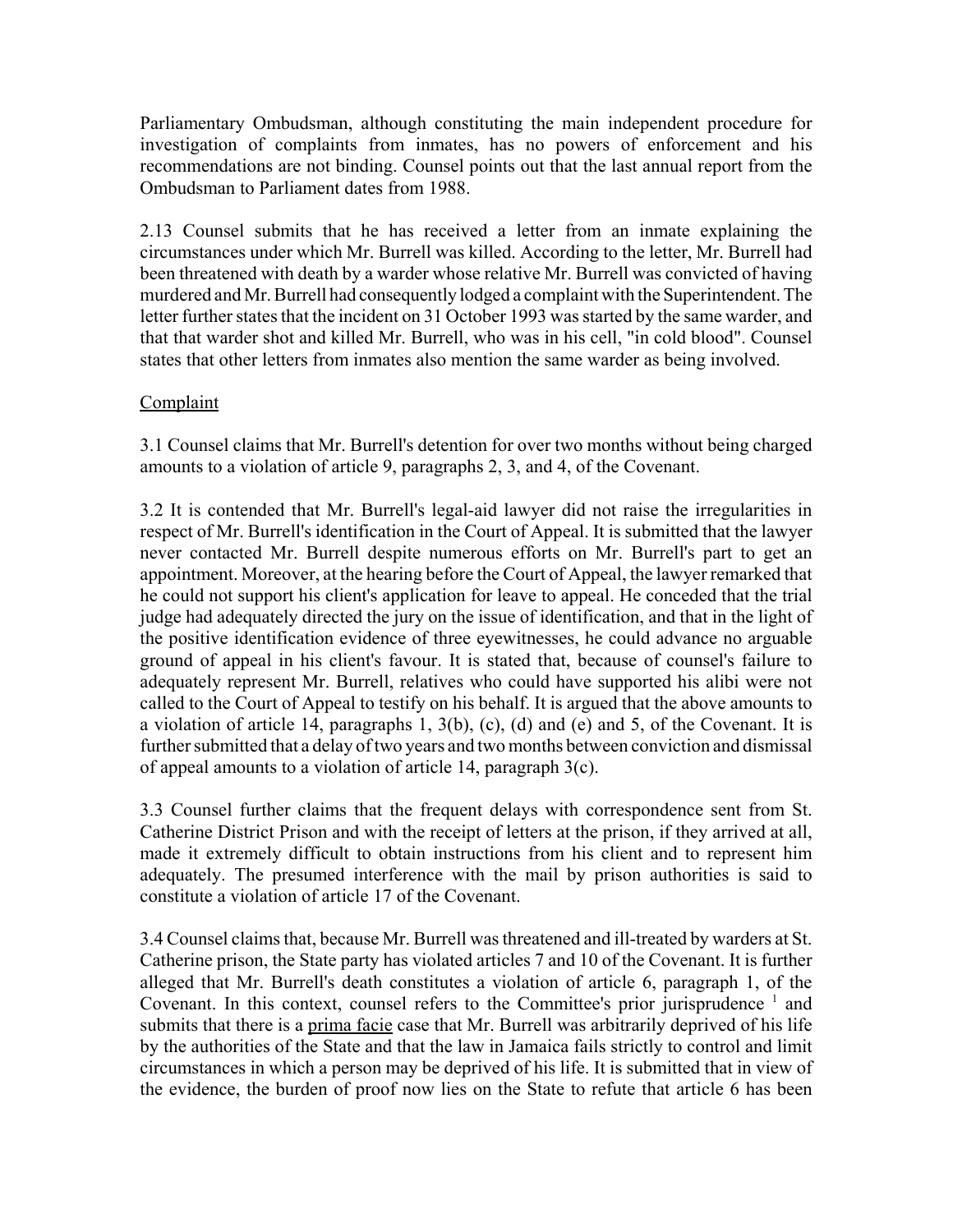Parliamentary Ombudsman, although constituting the main independent procedure for investigation of complaints from inmates, has no powers of enforcement and his recommendations are not binding. Counsel points out that the last annual report from the Ombudsman to Parliament dates from 1988.

2.13 Counsel submits that he has received a letter from an inmate explaining the circumstances under which Mr. Burrell was killed. According to the letter, Mr. Burrell had been threatened with death by a warder whose relative Mr. Burrell was convicted of having murdered and Mr. Burrell had consequently lodged a complaint with the Superintendent. The letter further states that the incident on 31 October 1993 was started by the same warder, and that that warder shot and killed Mr. Burrell, who was in his cell, "in cold blood". Counsel states that other letters from inmates also mention the same warder as being involved.

# **Complaint**

3.1 Counsel claims that Mr. Burrell's detention for over two months without being charged amounts to a violation of article 9, paragraphs 2, 3, and 4, of the Covenant.

3.2 It is contended that Mr. Burrell's legal-aid lawyer did not raise the irregularities in respect of Mr. Burrell's identification in the Court of Appeal. It is submitted that the lawyer never contacted Mr. Burrell despite numerous efforts on Mr. Burrell's part to get an appointment. Moreover, at the hearing before the Court of Appeal, the lawyer remarked that he could not support his client's application for leave to appeal. He conceded that the trial judge had adequately directed the jury on the issue of identification, and that in the light of the positive identification evidence of three eyewitnesses, he could advance no arguable ground of appeal in his client's favour. It is stated that, because of counsel's failure to adequately represent Mr. Burrell, relatives who could have supported his alibi were not called to the Court of Appeal to testify on his behalf. It is argued that the above amounts to a violation of article 14, paragraphs 1, 3(b), (c), (d) and (e) and 5, of the Covenant. It is further submitted that a delay of two years and two months between conviction and dismissal of appeal amounts to a violation of article 14, paragraph 3(c).

3.3 Counsel further claims that the frequent delays with correspondence sent from St. Catherine District Prison and with the receipt of letters at the prison, if they arrived at all, made it extremely difficult to obtain instructions from his client and to represent him adequately. The presumed interference with the mail by prison authorities is said to constitute a violation of article 17 of the Covenant.

3.4 Counsel claims that, because Mr. Burrell was threatened and ill-treated by warders at St. Catherine prison, the State party has violated articles 7 and 10 of the Covenant. It is further alleged that Mr. Burrell's death constitutes a violation of article 6, paragraph 1, of the Covenant. In this context, counsel refers to the Committee's prior jurisprudence  $<sup>1</sup>$  and</sup> submits that there is a prima facie case that Mr. Burrell was arbitrarily deprived of his life by the authorities of the State and that the law in Jamaica fails strictly to control and limit circumstances in which a person may be deprived of his life. It is submitted that in view of the evidence, the burden of proof now lies on the State to refute that article 6 has been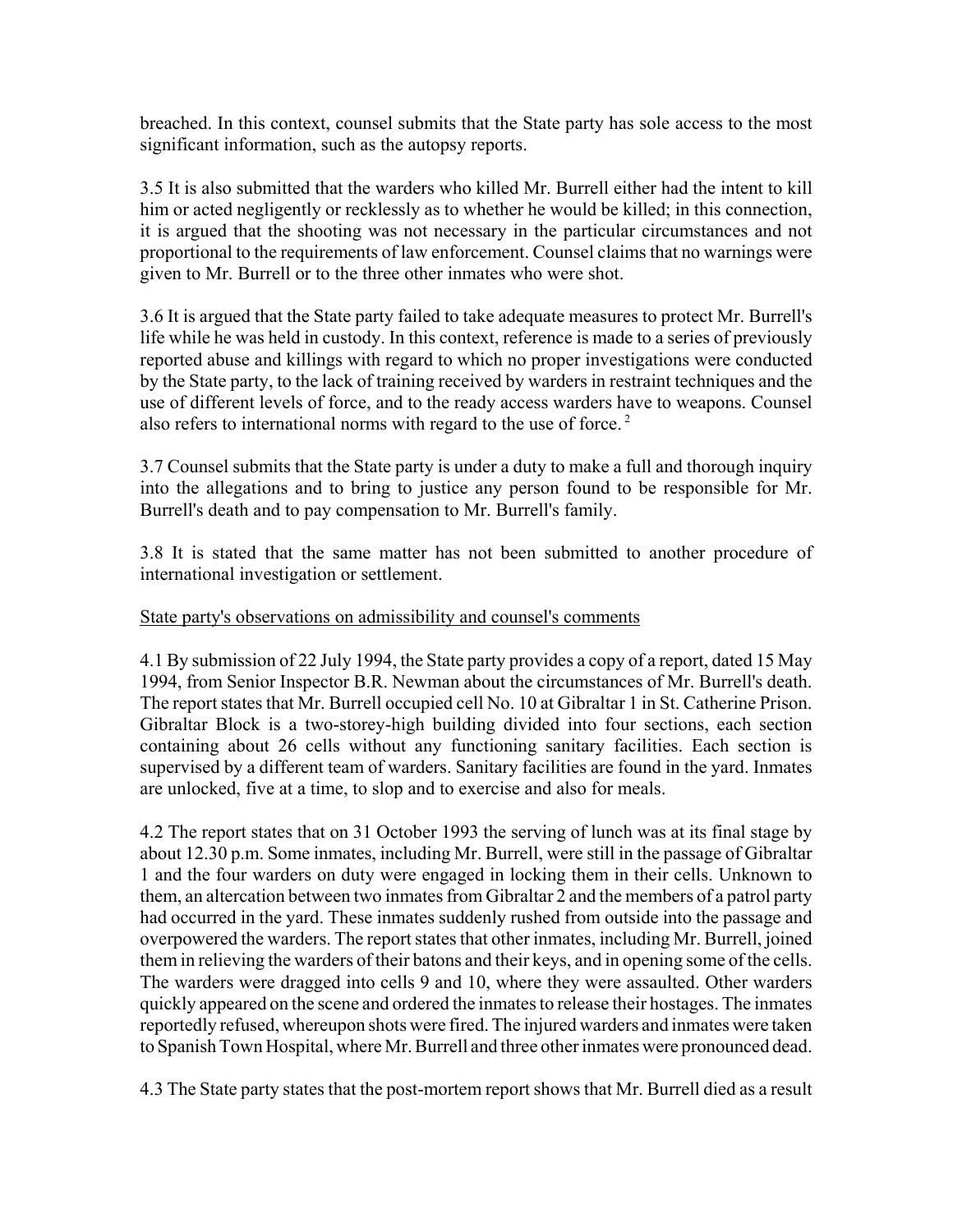breached. In this context, counsel submits that the State party has sole access to the most significant information, such as the autopsy reports.

3.5 It is also submitted that the warders who killed Mr. Burrell either had the intent to kill him or acted negligently or recklessly as to whether he would be killed; in this connection, it is argued that the shooting was not necessary in the particular circumstances and not proportional to the requirements of law enforcement. Counsel claims that no warnings were given to Mr. Burrell or to the three other inmates who were shot.

3.6 It is argued that the State party failed to take adequate measures to protect Mr. Burrell's life while he was held in custody. In this context, reference is made to a series of previously reported abuse and killings with regard to which no proper investigations were conducted by the State party, to the lack of training received by warders in restraint techniques and the use of different levels of force, and to the ready access warders have to weapons. Counsel also refers to international norms with regard to the use of force.<sup>2</sup>

3.7 Counsel submits that the State party is under a duty to make a full and thorough inquiry into the allegations and to bring to justice any person found to be responsible for Mr. Burrell's death and to pay compensation to Mr. Burrell's family.

3.8 It is stated that the same matter has not been submitted to another procedure of international investigation or settlement.

#### State party's observations on admissibility and counsel's comments

4.1 By submission of 22 July 1994, the State party provides a copy of a report, dated 15 May 1994, from Senior Inspector B.R. Newman about the circumstances of Mr. Burrell's death. The report states that Mr. Burrell occupied cell No. 10 at Gibraltar 1 in St. Catherine Prison. Gibraltar Block is a two-storey-high building divided into four sections, each section containing about 26 cells without any functioning sanitary facilities. Each section is supervised by a different team of warders. Sanitary facilities are found in the yard. Inmates are unlocked, five at a time, to slop and to exercise and also for meals.

4.2 The report states that on 31 October 1993 the serving of lunch was at its final stage by about 12.30 p.m. Some inmates, including Mr. Burrell, were still in the passage of Gibraltar 1 and the four warders on duty were engaged in locking them in their cells. Unknown to them, an altercation between two inmates from Gibraltar 2 and the members of a patrol party had occurred in the yard. These inmates suddenly rushed from outside into the passage and overpowered the warders. The report states that other inmates, including Mr. Burrell, joined them in relieving the warders of their batons and their keys, and in opening some of the cells. The warders were dragged into cells 9 and 10, where they were assaulted. Other warders quickly appeared on the scene and ordered the inmates to release their hostages. The inmates reportedly refused, whereupon shots were fired. The injured warders and inmates were taken to Spanish Town Hospital, where Mr. Burrell and three other inmates were pronounced dead.

4.3 The State party states that the post-mortem report shows that Mr. Burrell died as a result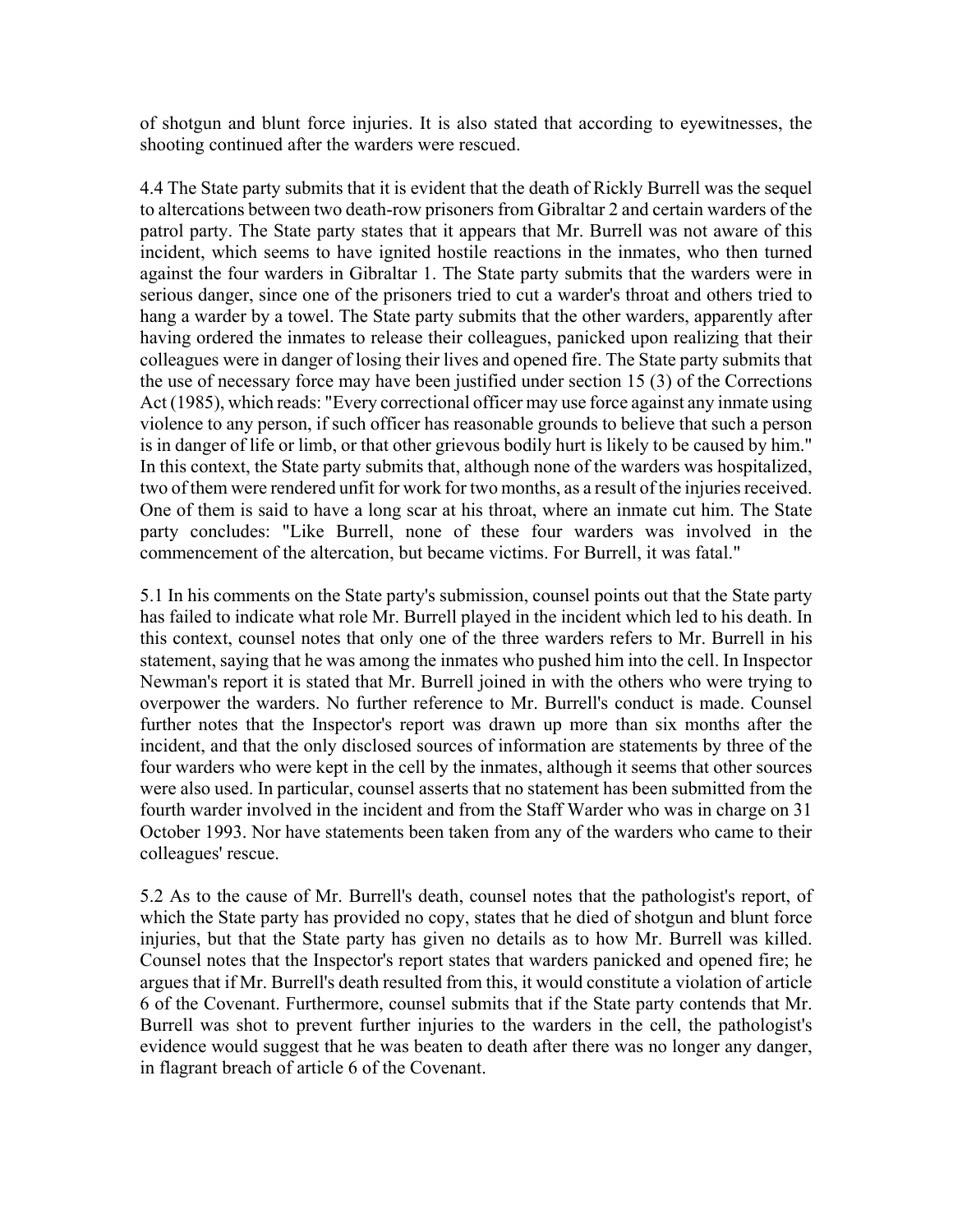of shotgun and blunt force injuries. It is also stated that according to eyewitnesses, the shooting continued after the warders were rescued.

4.4 The State party submits that it is evident that the death of Rickly Burrell was the sequel to altercations between two death-row prisoners from Gibraltar 2 and certain warders of the patrol party. The State party states that it appears that Mr. Burrell was not aware of this incident, which seems to have ignited hostile reactions in the inmates, who then turned against the four warders in Gibraltar 1. The State party submits that the warders were in serious danger, since one of the prisoners tried to cut a warder's throat and others tried to hang a warder by a towel. The State party submits that the other warders, apparently after having ordered the inmates to release their colleagues, panicked upon realizing that their colleagues were in danger of losing their lives and opened fire. The State party submits that the use of necessary force may have been justified under section 15 (3) of the Corrections Act (1985), which reads: "Every correctional officer may use force against any inmate using violence to any person, if such officer has reasonable grounds to believe that such a person is in danger of life or limb, or that other grievous bodily hurt is likely to be caused by him." In this context, the State party submits that, although none of the warders was hospitalized, two of them were rendered unfit for work for two months, as a result of the injuries received. One of them is said to have a long scar at his throat, where an inmate cut him. The State party concludes: "Like Burrell, none of these four warders was involved in the commencement of the altercation, but became victims. For Burrell, it was fatal."

5.1 In his comments on the State party's submission, counsel points out that the State party has failed to indicate what role Mr. Burrell played in the incident which led to his death. In this context, counsel notes that only one of the three warders refers to Mr. Burrell in his statement, saying that he was among the inmates who pushed him into the cell. In Inspector Newman's report it is stated that Mr. Burrell joined in with the others who were trying to overpower the warders. No further reference to Mr. Burrell's conduct is made. Counsel further notes that the Inspector's report was drawn up more than six months after the incident, and that the only disclosed sources of information are statements by three of the four warders who were kept in the cell by the inmates, although it seems that other sources were also used. In particular, counsel asserts that no statement has been submitted from the fourth warder involved in the incident and from the Staff Warder who was in charge on 31 October 1993. Nor have statements been taken from any of the warders who came to their colleagues' rescue.

5.2 As to the cause of Mr. Burrell's death, counsel notes that the pathologist's report, of which the State party has provided no copy, states that he died of shotgun and blunt force injuries, but that the State party has given no details as to how Mr. Burrell was killed. Counsel notes that the Inspector's report states that warders panicked and opened fire; he argues that if Mr. Burrell's death resulted from this, it would constitute a violation of article 6 of the Covenant. Furthermore, counsel submits that if the State party contends that Mr. Burrell was shot to prevent further injuries to the warders in the cell, the pathologist's evidence would suggest that he was beaten to death after there was no longer any danger, in flagrant breach of article 6 of the Covenant.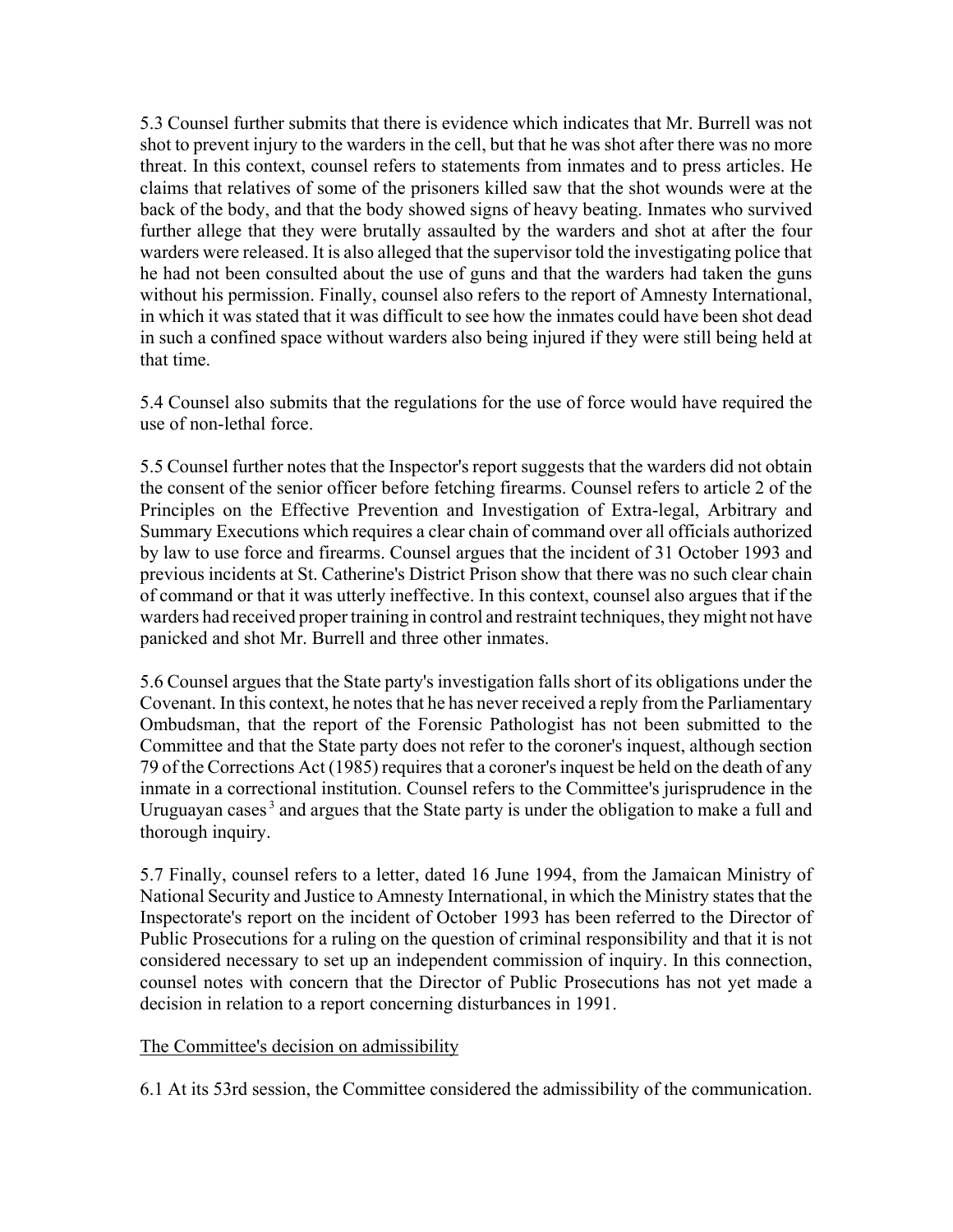5.3 Counsel further submits that there is evidence which indicates that Mr. Burrell was not shot to prevent injury to the warders in the cell, but that he was shot after there was no more threat. In this context, counsel refers to statements from inmates and to press articles. He claims that relatives of some of the prisoners killed saw that the shot wounds were at the back of the body, and that the body showed signs of heavy beating. Inmates who survived further allege that they were brutally assaulted by the warders and shot at after the four warders were released. It is also alleged that the supervisor told the investigating police that he had not been consulted about the use of guns and that the warders had taken the guns without his permission. Finally, counsel also refers to the report of Amnesty International, in which it was stated that it was difficult to see how the inmates could have been shot dead in such a confined space without warders also being injured if they were still being held at that time.

5.4 Counsel also submits that the regulations for the use of force would have required the use of non-lethal force.

5.5 Counsel further notes that the Inspector's report suggests that the warders did not obtain the consent of the senior officer before fetching firearms. Counsel refers to article 2 of the Principles on the Effective Prevention and Investigation of Extra-legal, Arbitrary and Summary Executions which requires a clear chain of command over all officials authorized by law to use force and firearms. Counsel argues that the incident of 31 October 1993 and previous incidents at St. Catherine's District Prison show that there was no such clear chain of command or that it was utterly ineffective. In this context, counsel also argues that if the warders had received proper training in control and restraint techniques, they might not have panicked and shot Mr. Burrell and three other inmates.

5.6 Counsel argues that the State party's investigation falls short of its obligations under the Covenant. In this context, he notes that he has never received a reply from the Parliamentary Ombudsman, that the report of the Forensic Pathologist has not been submitted to the Committee and that the State party does not refer to the coroner's inquest, although section 79 of the Corrections Act (1985) requires that a coroner's inquest be held on the death of any inmate in a correctional institution. Counsel refers to the Committee's jurisprudence in the Uruguayan cases<sup>3</sup> and argues that the State party is under the obligation to make a full and thorough inquiry.

5.7 Finally, counsel refers to a letter, dated 16 June 1994, from the Jamaican Ministry of National Security and Justice to Amnesty International, in which the Ministry states that the Inspectorate's report on the incident of October 1993 has been referred to the Director of Public Prosecutions for a ruling on the question of criminal responsibility and that it is not considered necessary to set up an independent commission of inquiry. In this connection, counsel notes with concern that the Director of Public Prosecutions has not yet made a decision in relation to a report concerning disturbances in 1991.

#### The Committee's decision on admissibility

6.1 At its 53rd session, the Committee considered the admissibility of the communication.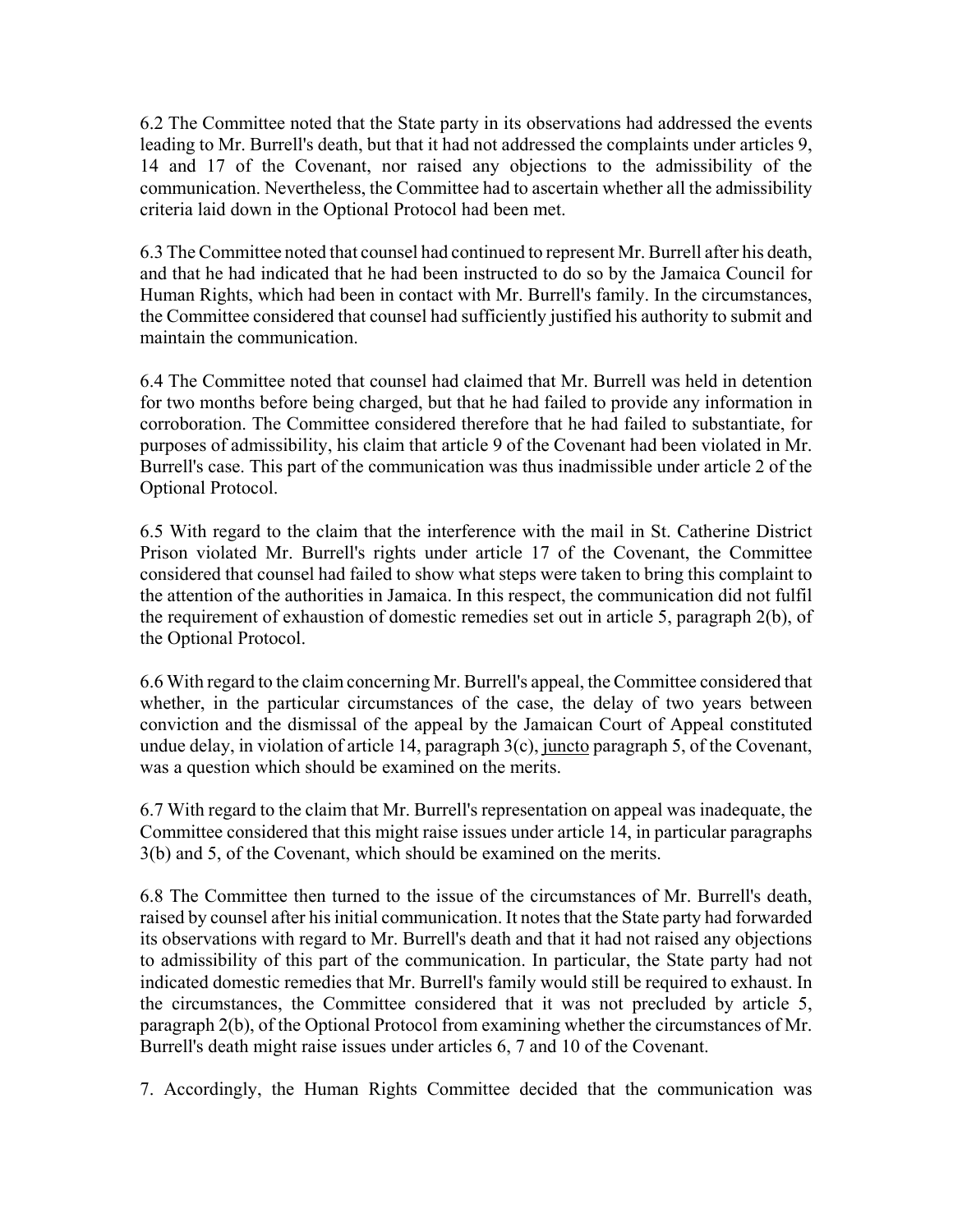6.2 The Committee noted that the State party in its observations had addressed the events leading to Mr. Burrell's death, but that it had not addressed the complaints under articles 9, 14 and 17 of the Covenant, nor raised any objections to the admissibility of the communication. Nevertheless, the Committee had to ascertain whether all the admissibility criteria laid down in the Optional Protocol had been met.

6.3 The Committee noted that counsel had continued to represent Mr. Burrell after his death, and that he had indicated that he had been instructed to do so by the Jamaica Council for Human Rights, which had been in contact with Mr. Burrell's family. In the circumstances, the Committee considered that counsel had sufficiently justified his authority to submit and maintain the communication.

6.4 The Committee noted that counsel had claimed that Mr. Burrell was held in detention for two months before being charged, but that he had failed to provide any information in corroboration. The Committee considered therefore that he had failed to substantiate, for purposes of admissibility, his claim that article 9 of the Covenant had been violated in Mr. Burrell's case. This part of the communication was thus inadmissible under article 2 of the Optional Protocol.

6.5 With regard to the claim that the interference with the mail in St. Catherine District Prison violated Mr. Burrell's rights under article 17 of the Covenant, the Committee considered that counsel had failed to show what steps were taken to bring this complaint to the attention of the authorities in Jamaica. In this respect, the communication did not fulfil the requirement of exhaustion of domestic remedies set out in article 5, paragraph 2(b), of the Optional Protocol.

6.6 With regard to the claim concerning Mr. Burrell's appeal, the Committee considered that whether, in the particular circumstances of the case, the delay of two years between conviction and the dismissal of the appeal by the Jamaican Court of Appeal constituted undue delay, in violation of article 14, paragraph 3(c), juncto paragraph 5, of the Covenant, was a question which should be examined on the merits.

6.7 With regard to the claim that Mr. Burrell's representation on appeal was inadequate, the Committee considered that this might raise issues under article 14, in particular paragraphs 3(b) and 5, of the Covenant, which should be examined on the merits.

6.8 The Committee then turned to the issue of the circumstances of Mr. Burrell's death, raised by counsel after his initial communication. It notes that the State party had forwarded its observations with regard to Mr. Burrell's death and that it had not raised any objections to admissibility of this part of the communication. In particular, the State party had not indicated domestic remedies that Mr. Burrell's family would still be required to exhaust. In the circumstances, the Committee considered that it was not precluded by article 5, paragraph 2(b), of the Optional Protocol from examining whether the circumstances of Mr. Burrell's death might raise issues under articles 6, 7 and 10 of the Covenant.

7. Accordingly, the Human Rights Committee decided that the communication was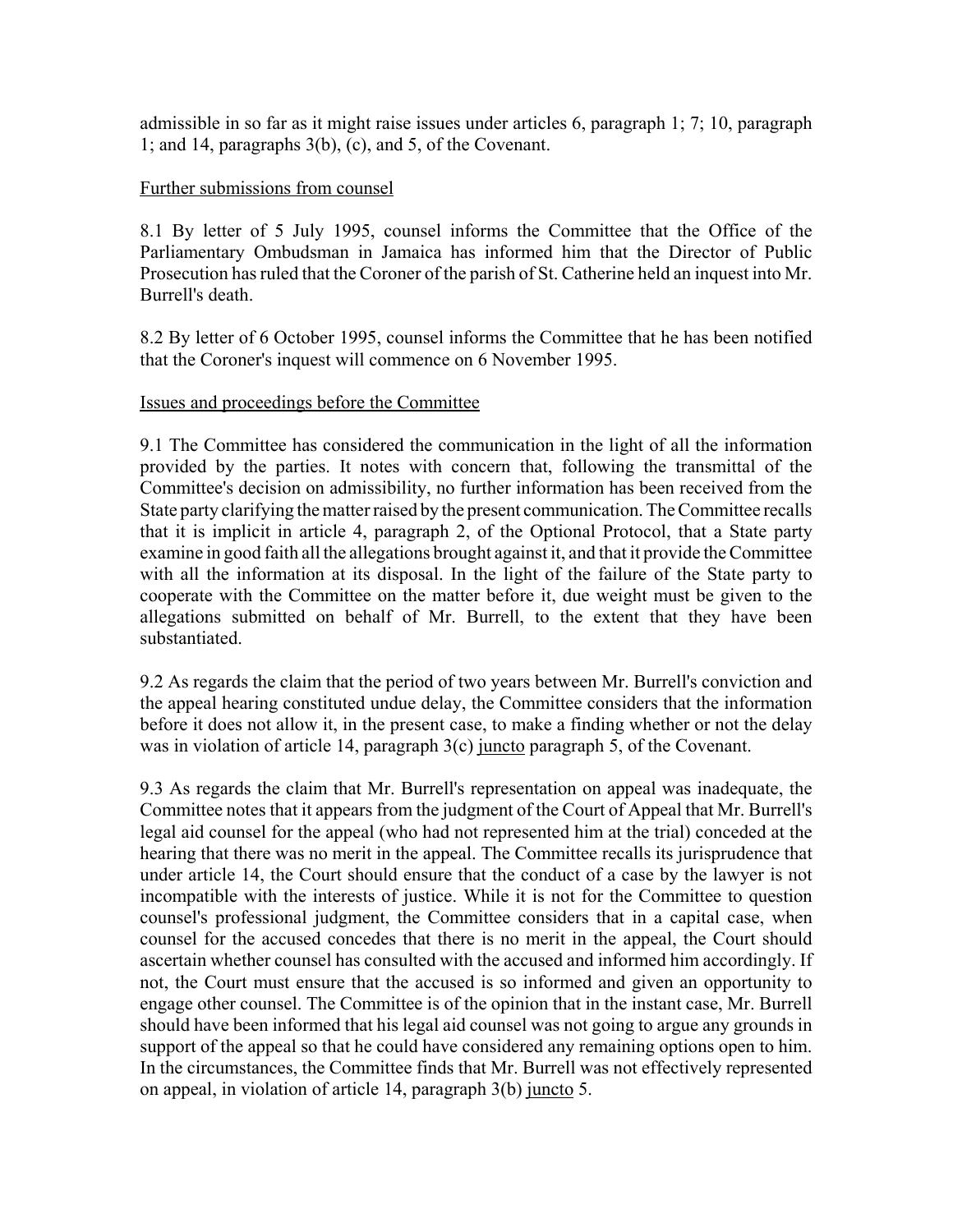admissible in so far as it might raise issues under articles 6, paragraph 1; 7; 10, paragraph 1; and 14, paragraphs 3(b), (c), and 5, of the Covenant.

### Further submissions from counsel

8.1 By letter of 5 July 1995, counsel informs the Committee that the Office of the Parliamentary Ombudsman in Jamaica has informed him that the Director of Public Prosecution has ruled that the Coroner of the parish of St. Catherine held an inquest into Mr. Burrell's death.

8.2 By letter of 6 October 1995, counsel informs the Committee that he has been notified that the Coroner's inquest will commence on 6 November 1995.

#### Issues and proceedings before the Committee

9.1 The Committee has considered the communication in the light of all the information provided by the parties. It notes with concern that, following the transmittal of the Committee's decision on admissibility, no further information has been received from the State party clarifying the matter raised by the present communication. The Committee recalls that it is implicit in article 4, paragraph 2, of the Optional Protocol, that a State party examine in good faith all the allegations brought against it, and that it provide the Committee with all the information at its disposal. In the light of the failure of the State party to cooperate with the Committee on the matter before it, due weight must be given to the allegations submitted on behalf of Mr. Burrell, to the extent that they have been substantiated.

9.2 As regards the claim that the period of two years between Mr. Burrell's conviction and the appeal hearing constituted undue delay, the Committee considers that the information before it does not allow it, in the present case, to make a finding whether or not the delay was in violation of article 14, paragraph 3(c) juncto paragraph 5, of the Covenant.

9.3 As regards the claim that Mr. Burrell's representation on appeal was inadequate, the Committee notes that it appears from the judgment of the Court of Appeal that Mr. Burrell's legal aid counsel for the appeal (who had not represented him at the trial) conceded at the hearing that there was no merit in the appeal. The Committee recalls its jurisprudence that under article 14, the Court should ensure that the conduct of a case by the lawyer is not incompatible with the interests of justice. While it is not for the Committee to question counsel's professional judgment, the Committee considers that in a capital case, when counsel for the accused concedes that there is no merit in the appeal, the Court should ascertain whether counsel has consulted with the accused and informed him accordingly. If not, the Court must ensure that the accused is so informed and given an opportunity to engage other counsel. The Committee is of the opinion that in the instant case, Mr. Burrell should have been informed that his legal aid counsel was not going to argue any grounds in support of the appeal so that he could have considered any remaining options open to him. In the circumstances, the Committee finds that Mr. Burrell was not effectively represented on appeal, in violation of article 14, paragraph 3(b) juncto 5.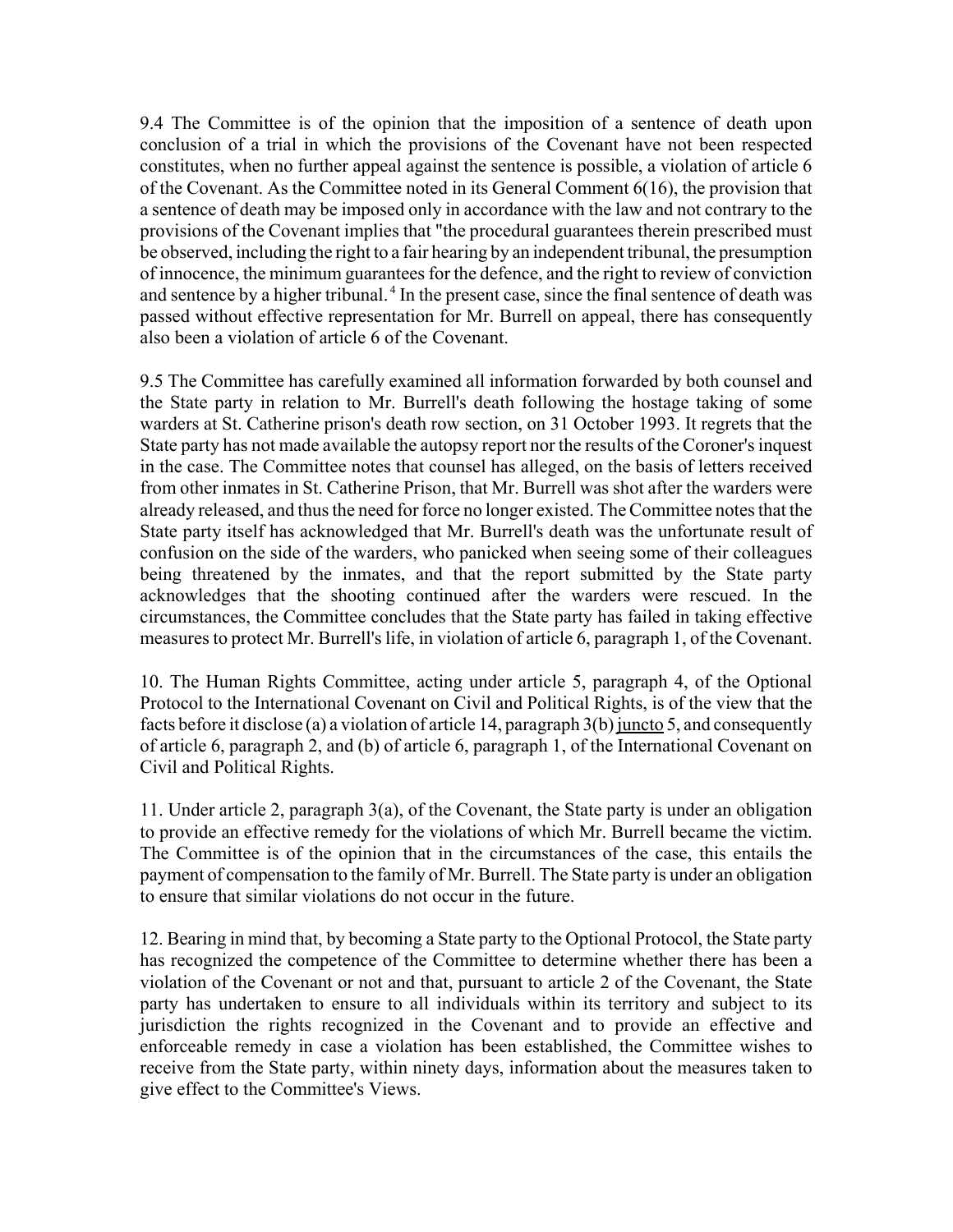9.4 The Committee is of the opinion that the imposition of a sentence of death upon conclusion of a trial in which the provisions of the Covenant have not been respected constitutes, when no further appeal against the sentence is possible, a violation of article 6 of the Covenant. As the Committee noted in its General Comment 6(16), the provision that a sentence of death may be imposed only in accordance with the law and not contrary to the provisions of the Covenant implies that "the procedural guarantees therein prescribed must be observed, including the right to a fair hearing by an independent tribunal, the presumption of innocence, the minimum guarantees for the defence, and the right to review of conviction and sentence by a higher tribunal.<sup>4</sup> In the present case, since the final sentence of death was passed without effective representation for Mr. Burrell on appeal, there has consequently also been a violation of article 6 of the Covenant.

9.5 The Committee has carefully examined all information forwarded by both counsel and the State party in relation to Mr. Burrell's death following the hostage taking of some warders at St. Catherine prison's death row section, on 31 October 1993. It regrets that the State party has not made available the autopsy report nor the results of the Coroner's inquest in the case. The Committee notes that counsel has alleged, on the basis of letters received from other inmates in St. Catherine Prison, that Mr. Burrell was shot after the warders were already released, and thus the need for force no longer existed. The Committee notes that the State party itself has acknowledged that Mr. Burrell's death was the unfortunate result of confusion on the side of the warders, who panicked when seeing some of their colleagues being threatened by the inmates, and that the report submitted by the State party acknowledges that the shooting continued after the warders were rescued. In the circumstances, the Committee concludes that the State party has failed in taking effective measures to protect Mr. Burrell's life, in violation of article 6, paragraph 1, of the Covenant.

10. The Human Rights Committee, acting under article 5, paragraph 4, of the Optional Protocol to the International Covenant on Civil and Political Rights, is of the view that the facts before it disclose (a) a violation of article 14, paragraph 3(b) juncto 5, and consequently of article 6, paragraph 2, and (b) of article 6, paragraph 1, of the International Covenant on Civil and Political Rights.

11. Under article 2, paragraph 3(a), of the Covenant, the State party is under an obligation to provide an effective remedy for the violations of which Mr. Burrell became the victim. The Committee is of the opinion that in the circumstances of the case, this entails the payment of compensation to the family of Mr. Burrell. The State party is under an obligation to ensure that similar violations do not occur in the future.

12. Bearing in mind that, by becoming a State party to the Optional Protocol, the State party has recognized the competence of the Committee to determine whether there has been a violation of the Covenant or not and that, pursuant to article 2 of the Covenant, the State party has undertaken to ensure to all individuals within its territory and subject to its jurisdiction the rights recognized in the Covenant and to provide an effective and enforceable remedy in case a violation has been established, the Committee wishes to receive from the State party, within ninety days, information about the measures taken to give effect to the Committee's Views.